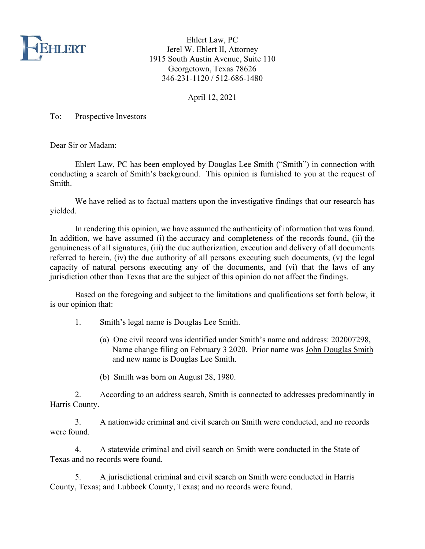

Ehlert Law, PC Jerel W. Ehlert II, Attorney 1915 South Austin Avenue, Suite 110 Georgetown, Texas 78626 346-231-1120 / 512-686-1480

April 12, 2021

To: Prospective Investors

Dear Sir or Madam:

Ehlert Law, PC has been employed by Douglas Lee Smith ("Smith") in connection with conducting a search of Smith's background. This opinion is furnished to you at the request of Smith.

We have relied as to factual matters upon the investigative findings that our research has yielded.

In rendering this opinion, we have assumed the authenticity of information that was found. In addition, we have assumed (i) the accuracy and completeness of the records found, (ii) the genuineness of all signatures, (iii) the due authorization, execution and delivery of all documents referred to herein, (iv) the due authority of all persons executing such documents, (v) the legal capacity of natural persons executing any of the documents, and (vi) that the laws of any jurisdiction other than Texas that are the subject of this opinion do not affect the findings.

Based on the foregoing and subject to the limitations and qualifications set forth below, it is our opinion that:

- 1. Smith's legal name is Douglas Lee Smith.
	- (a) One civil record was identified under Smith's name and address: 202007298, Name change filing on February 3 2020. Prior name was John Douglas Smith and new name is Douglas Lee Smith.
	- (b) Smith was born on August 28, 1980.

2. According to an address search, Smith is connected to addresses predominantly in Harris County.

3. A nationwide criminal and civil search on Smith were conducted, and no records were found.

4. A statewide criminal and civil search on Smith were conducted in the State of Texas and no records were found.

5. A jurisdictional criminal and civil search on Smith were conducted in Harris County, Texas; and Lubbock County, Texas; and no records were found.